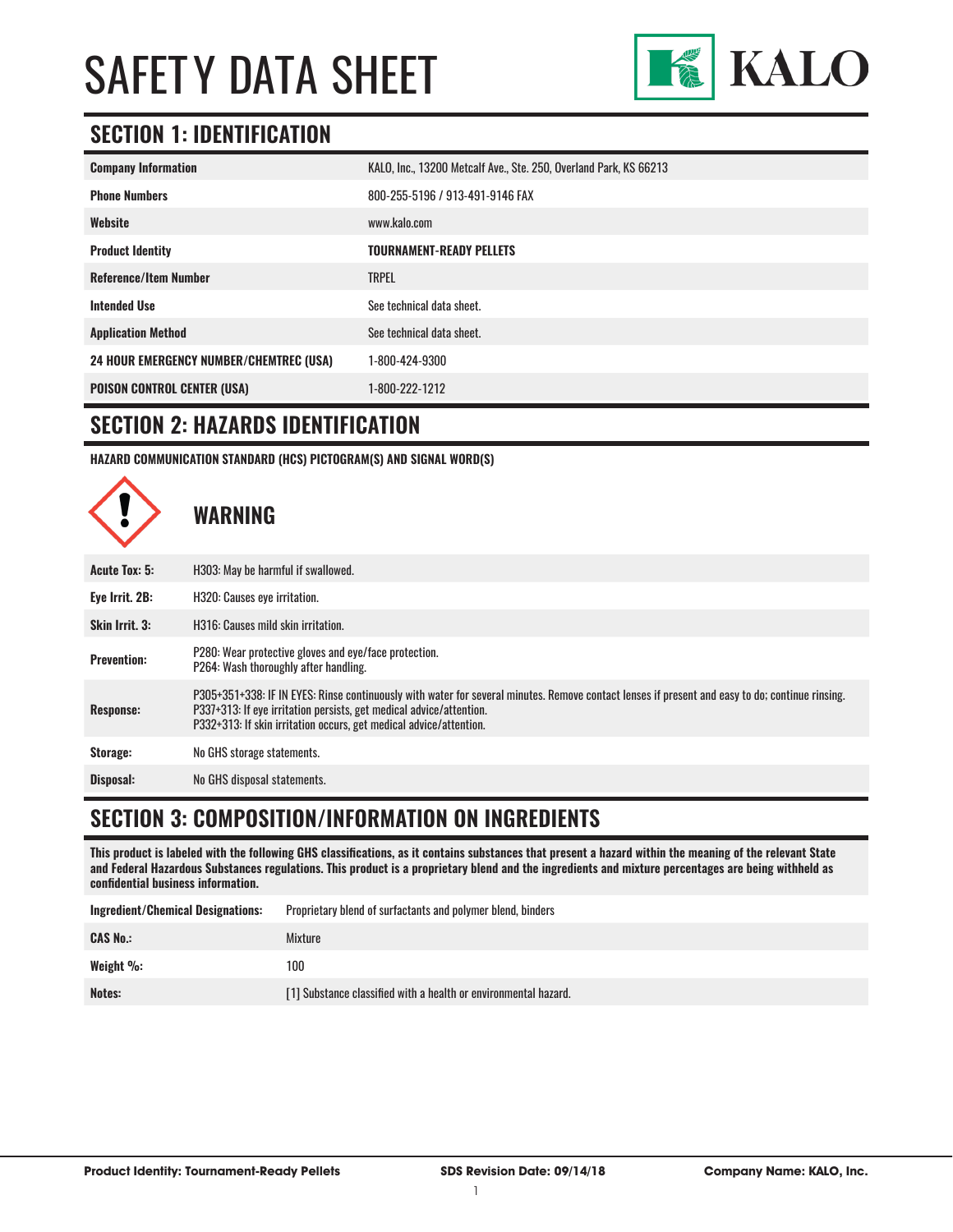

### **SECTION 1: IDENTIFICATION**

| <b>Company Information</b>                     | KALO, Inc., 13200 Metcalf Ave., Ste. 250, Overland Park, KS 66213 |
|------------------------------------------------|-------------------------------------------------------------------|
| <b>Phone Numbers</b>                           | 800-255-5196 / 913-491-9146 FAX                                   |
| Website                                        | www.kalo.com                                                      |
| <b>Product Identity</b>                        | <b>TOURNAMENT-READY PELLETS</b>                                   |
| <b>Reference/Item Number</b>                   | <b>TRPEL</b>                                                      |
| <b>Intended Use</b>                            | See technical data sheet.                                         |
| <b>Application Method</b>                      | See technical data sheet.                                         |
| <b>24 HOUR EMERGENCY NUMBER/CHEMTREC (USA)</b> | 1-800-424-9300                                                    |
| <b>POISON CONTROL CENTER (USA)</b>             | 1-800-222-1212                                                    |

#### **SECTION 2: HAZARDS IDENTIFICATION**

**HAZARD COMMUNICATION STANDARD (HCS) PICTOGRAM(S) AND SIGNAL WORD(S)**



#### **SECTION 3: COMPOSITION/INFORMATION ON INGREDIENTS**

**This product is labeled with the following GHS classifications, as it contains substances that present a hazard within the meaning of the relevant State and Federal Hazardous Substances regulations. This product is a proprietary blend and the ingredients and mixture percentages are being withheld as confidential business information.**

| <b>Ingredient/Chemical Designations:</b> | Proprietary blend of surfactants and polymer blend, binders     |
|------------------------------------------|-----------------------------------------------------------------|
| <b>CAS No.:</b>                          | Mixture                                                         |
| Weight %:                                | 100                                                             |
| Notes:                                   | [1] Substance classified with a health or environmental hazard. |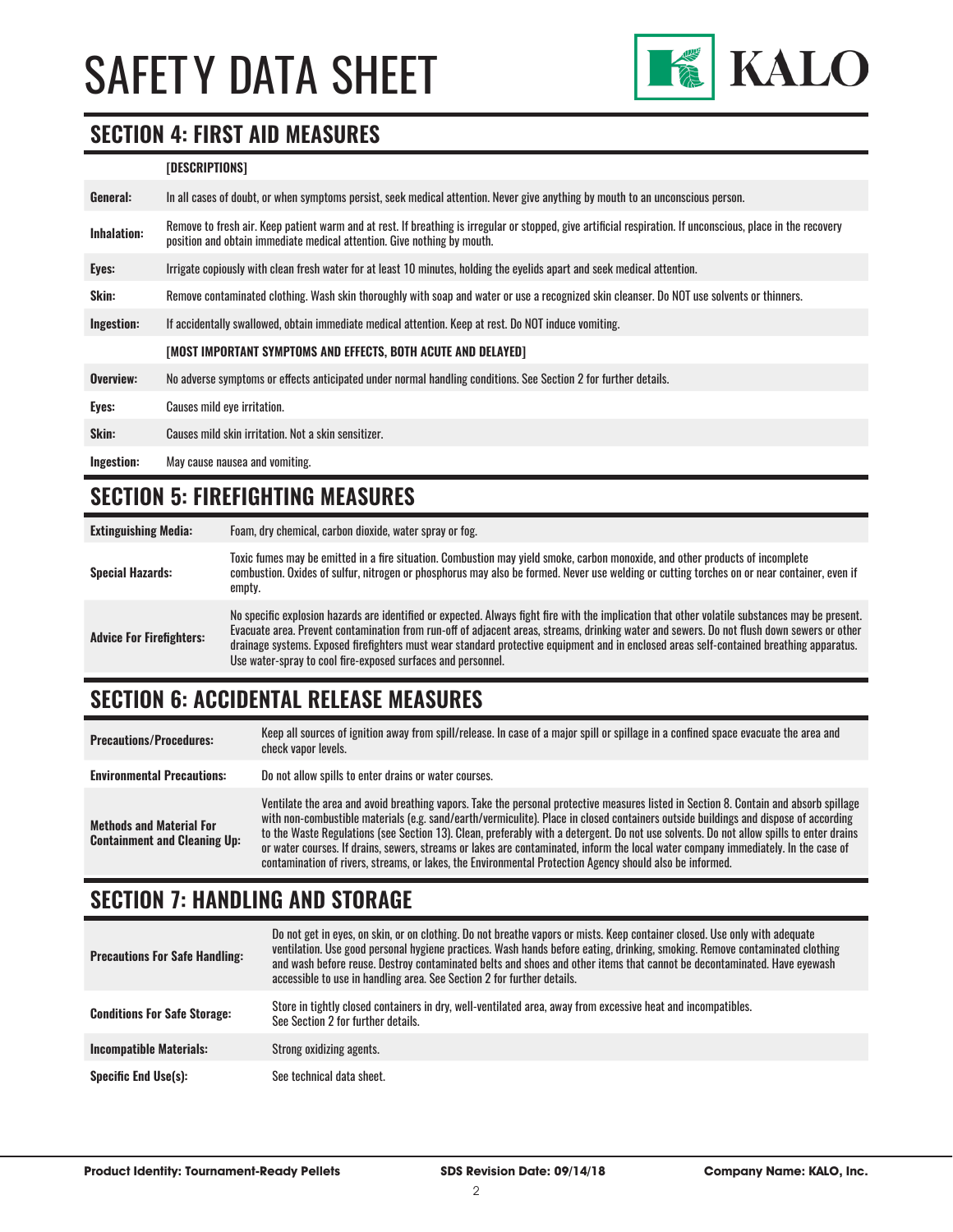

#### **SECTION 4: FIRST AID MEASURES**

#### **[DESCRIPTIONS]**

| General:    | In all cases of doubt, or when symptoms persist, seek medical attention. Never give anything by mouth to an unconscious person.                                                                                                         |
|-------------|-----------------------------------------------------------------------------------------------------------------------------------------------------------------------------------------------------------------------------------------|
| Inhalation: | Remove to fresh air. Keep patient warm and at rest. If breathing is irregular or stopped, give artificial respiration. If unconscious, place in the recovery<br>position and obtain immediate medical attention. Give nothing by mouth. |
| Eyes:       | Irrigate copiously with clean fresh water for at least 10 minutes, holding the eyelids apart and seek medical attention.                                                                                                                |
| Skin:       | Remove contaminated clothing. Wash skin thoroughly with soap and water or use a recognized skin cleanser. Do NOT use solvents or thinners.                                                                                              |
| Ingestion:  | If accidentally swallowed, obtain immediate medical attention. Keep at rest, Do NOT induce vomiting.                                                                                                                                    |
|             | [MOST IMPORTANT SYMPTOMS AND EFFECTS, BOTH ACUTE AND DELAYED]                                                                                                                                                                           |
| Overview:   | No adverse symptoms or effects anticipated under normal handling conditions. See Section 2 for further details.                                                                                                                         |
| Eyes:       | Causes mild eye irritation.                                                                                                                                                                                                             |
| Skin:       | Causes mild skin irritation. Not a skin sensitizer.                                                                                                                                                                                     |
| Ingestion:  | May cause nausea and vomiting.                                                                                                                                                                                                          |

#### **SECTION 5: FIREFIGHTING MEASURES**

| <b>Extinguishing Media:</b>     | Foam, dry chemical, carbon dioxide, water spray or fog.                                                                                                                                                                                                                                                                                                                                                                                                                                                   |
|---------------------------------|-----------------------------------------------------------------------------------------------------------------------------------------------------------------------------------------------------------------------------------------------------------------------------------------------------------------------------------------------------------------------------------------------------------------------------------------------------------------------------------------------------------|
| <b>Special Hazards:</b>         | Toxic fumes may be emitted in a fire situation. Combustion may yield smoke, carbon monoxide, and other products of incomplete<br>combustion. Oxides of sulfur, nitrogen or phosphorus may also be formed. Never use welding or cutting torches on or near container, even if<br>empty.                                                                                                                                                                                                                    |
| <b>Advice For Firefighters:</b> | No specific explosion hazards are identified or expected. Always fight fire with the implication that other volatile substances may be present.<br>Evacuate area. Prevent contamination from run-off of adjacent areas, streams, drinking water and sewers. Do not flush down sewers or other<br>drainage systems. Exposed firefighters must wear standard protective equipment and in enclosed areas self-contained breathing apparatus.<br>Use water-spray to cool fire-exposed surfaces and personnel. |

# **SECTION 6: ACCIDENTAL RELEASE MEASURES**

| <b>Precautions/Procedures:</b>                                         | Keep all sources of ignition away from spill/release. In case of a major spill or spillage in a confined space evacuate the area and<br>check vapor levels.                                                                                                                                                                                                                                                                                                                                                                                                                                                                                                               |
|------------------------------------------------------------------------|---------------------------------------------------------------------------------------------------------------------------------------------------------------------------------------------------------------------------------------------------------------------------------------------------------------------------------------------------------------------------------------------------------------------------------------------------------------------------------------------------------------------------------------------------------------------------------------------------------------------------------------------------------------------------|
| <b>Environmental Precautions:</b>                                      | Do not allow spills to enter drains or water courses.                                                                                                                                                                                                                                                                                                                                                                                                                                                                                                                                                                                                                     |
| <b>Methods and Material For</b><br><b>Containment and Cleaning Up:</b> | Ventilate the area and avoid breathing vapors. Take the personal protective measures listed in Section 8. Contain and absorb spillage<br>with non-combustible materials (e.g. sand/earth/vermiculite). Place in closed containers outside buildings and dispose of according<br>to the Waste Regulations (see Section 13). Clean, preferably with a detergent. Do not use solvents. Do not allow spills to enter drains<br>or water courses. If drains, sewers, streams or lakes are contaminated, inform the local water company immediately. In the case of<br>contamination of rivers, streams, or lakes, the Environmental Protection Agency should also be informed. |

# **SECTION 7: HANDLING AND STORAGE**

| <b>Precautions For Safe Handling:</b> | Do not get in eyes, on skin, or on clothing. Do not breathe vapors or mists. Keep container closed. Use only with adequate<br>ventilation. Use good personal hygiene practices. Wash hands before eating, drinking, smoking. Remove contaminated clothing<br>and wash before reuse. Destroy contaminated belts and shoes and other items that cannot be decontaminated. Have evewash<br>accessible to use in handling area. See Section 2 for further details. |
|---------------------------------------|----------------------------------------------------------------------------------------------------------------------------------------------------------------------------------------------------------------------------------------------------------------------------------------------------------------------------------------------------------------------------------------------------------------------------------------------------------------|
| <b>Conditions For Safe Storage:</b>   | Store in tightly closed containers in dry, well-ventilated area, away from excessive heat and incompatibles.<br>See Section 2 for further details.                                                                                                                                                                                                                                                                                                             |
| <b>Incompatible Materials:</b>        | Strong oxidizing agents.                                                                                                                                                                                                                                                                                                                                                                                                                                       |
| <b>Specific End Use(s):</b>           | See technical data sheet.                                                                                                                                                                                                                                                                                                                                                                                                                                      |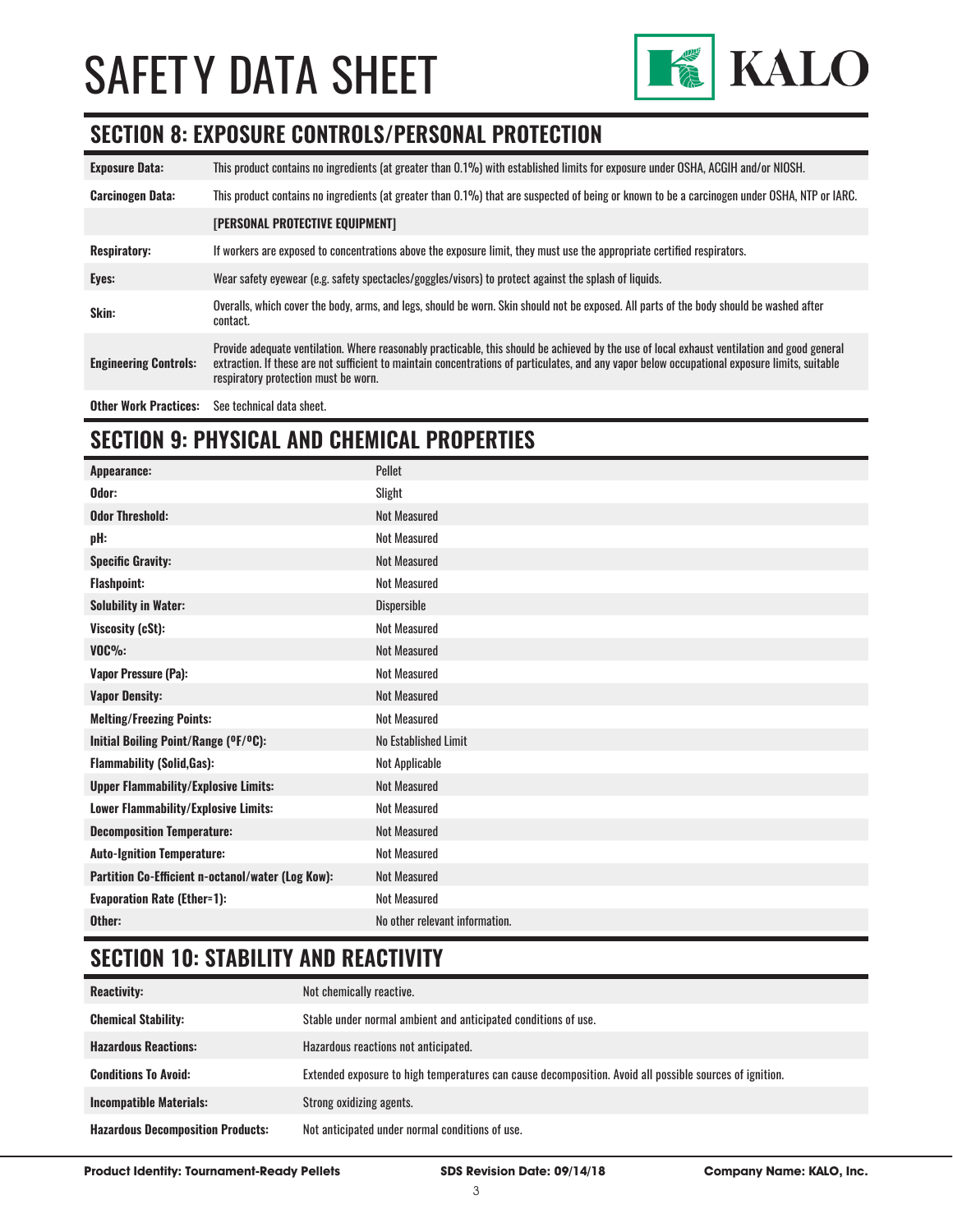

#### **SECTION 8: EXPOSURE CONTROLS/PERSONAL PROTECTION**

| <b>Exposure Data:</b>        | This product contains no ingredients (at greater than 0.1%) with established limits for exposure under OSHA, ACGIH and/or NIOSH.                                                                                                                                                                                                       |
|------------------------------|----------------------------------------------------------------------------------------------------------------------------------------------------------------------------------------------------------------------------------------------------------------------------------------------------------------------------------------|
| <b>Carcinogen Data:</b>      | This product contains no ingredients (at greater than 0.1%) that are suspected of being or known to be a carcinogen under OSHA, NTP or IARC.                                                                                                                                                                                           |
|                              | <b>[PERSONAL PROTECTIVE EQUIPMENT]</b>                                                                                                                                                                                                                                                                                                 |
| <b>Respiratory:</b>          | If workers are exposed to concentrations above the exposure limit, they must use the appropriate certified respirators.                                                                                                                                                                                                                |
| Eyes:                        | Wear safety eyewear (e.g. safety spectacles/goggles/visors) to protect against the splash of liquids.                                                                                                                                                                                                                                  |
| Skin:                        | Overalls, which cover the body, arms, and legs, should be worn. Skin should not be exposed. All parts of the body should be washed after<br>contact.                                                                                                                                                                                   |
| <b>Engineering Controls:</b> | Provide adequate ventilation. Where reasonably practicable, this should be achieved by the use of local exhaust ventilation and good general<br>extraction. If these are not sufficient to maintain concentrations of particulates, and any vapor below occupational exposure limits, suitable<br>respiratory protection must be worn. |
| <b>Other Work Practices:</b> | See technical data sheet.                                                                                                                                                                                                                                                                                                              |

# **SECTION 9: PHYSICAL AND CHEMICAL PROPERTIES**

| <b>Appearance:</b>                                | Pellet                         |
|---------------------------------------------------|--------------------------------|
| Odor:                                             | Slight                         |
| <b>Odor Threshold:</b>                            | <b>Not Measured</b>            |
| pH:                                               | <b>Not Measured</b>            |
| <b>Specific Gravity:</b>                          | <b>Not Measured</b>            |
| <b>Flashpoint:</b>                                | <b>Not Measured</b>            |
| <b>Solubility in Water:</b>                       | Dispersible                    |
| Viscosity (cSt):                                  | <b>Not Measured</b>            |
| $VOC\%$ :                                         | <b>Not Measured</b>            |
| <b>Vapor Pressure (Pa):</b>                       | <b>Not Measured</b>            |
| <b>Vapor Density:</b>                             | <b>Not Measured</b>            |
| <b>Melting/Freezing Points:</b>                   | <b>Not Measured</b>            |
| Initial Boiling Point/Range (OF/OC):              | No Established Limit           |
| <b>Flammability (Solid, Gas):</b>                 | Not Applicable                 |
| <b>Upper Flammability/Explosive Limits:</b>       | <b>Not Measured</b>            |
| <b>Lower Flammability/Explosive Limits:</b>       | <b>Not Measured</b>            |
| <b>Decomposition Temperature:</b>                 | <b>Not Measured</b>            |
| <b>Auto-Ignition Temperature:</b>                 | <b>Not Measured</b>            |
| Partition Co-Efficient n-octanol/water (Log Kow): | <b>Not Measured</b>            |
| <b>Evaporation Rate (Ether=1):</b>                | <b>Not Measured</b>            |
| Other:                                            | No other relevant information. |

# **SECTION 10: STABILITY AND REACTIVITY**

| <b>Reactivity:</b>                       | Not chemically reactive.                                                                                |
|------------------------------------------|---------------------------------------------------------------------------------------------------------|
| <b>Chemical Stability:</b>               | Stable under normal ambient and anticipated conditions of use.                                          |
| <b>Hazardous Reactions:</b>              | Hazardous reactions not anticipated.                                                                    |
| <b>Conditions To Avoid:</b>              | Extended exposure to high temperatures can cause decomposition. Avoid all possible sources of ignition. |
| <b>Incompatible Materials:</b>           | Strong oxidizing agents.                                                                                |
| <b>Hazardous Decomposition Products:</b> | Not anticipated under normal conditions of use.                                                         |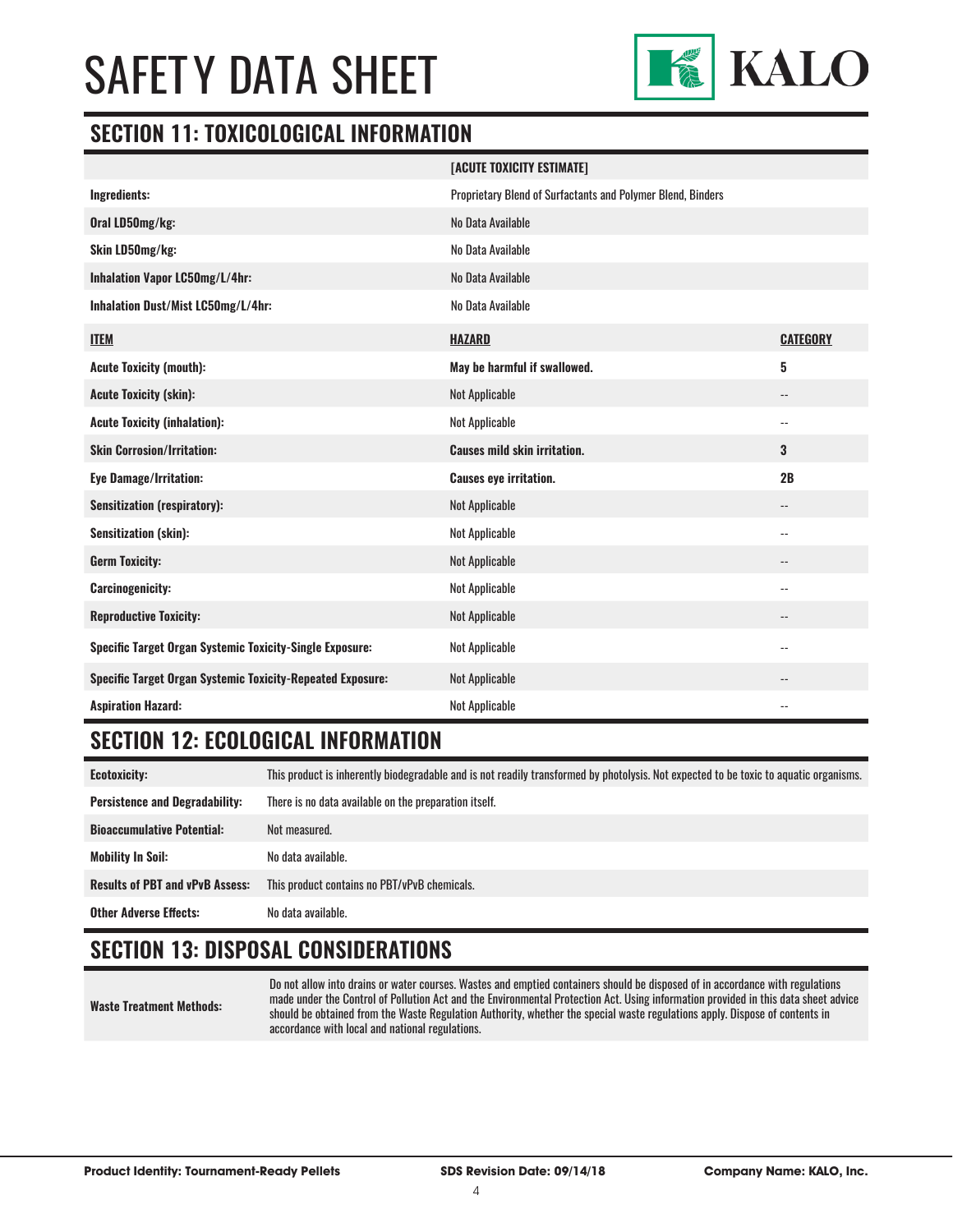

#### **SECTION 11: TOXICOLOGICAL INFORMATION**

|                                                                   | [ACUTE TOXICITY ESTIMATE]                                   |                            |
|-------------------------------------------------------------------|-------------------------------------------------------------|----------------------------|
| Ingredients:                                                      | Proprietary Blend of Surfactants and Polymer Blend, Binders |                            |
| Oral LD50mg/kg:                                                   | No Data Available                                           |                            |
| Skin LD50mg/kg:                                                   | No Data Available                                           |                            |
| Inhalation Vapor LC50mg/L/4hr:                                    | No Data Available                                           |                            |
| Inhalation Dust/Mist LC50mg/L/4hr:                                | No Data Available                                           |                            |
| <b>ITEM</b>                                                       | <b>HAZARD</b>                                               | <b>CATEGORY</b>            |
| <b>Acute Toxicity (mouth):</b>                                    | May be harmful if swallowed.                                | 5                          |
| <b>Acute Toxicity (skin):</b>                                     | <b>Not Applicable</b>                                       | $\overline{\phantom{a}}$   |
| <b>Acute Toxicity (inhalation):</b>                               | Not Applicable                                              | $\overline{\phantom{a}}$   |
| <b>Skin Corrosion/Irritation:</b>                                 | <b>Causes mild skin irritation.</b>                         | 3                          |
| <b>Eye Damage/Irritation:</b>                                     | <b>Causes eye irritation.</b>                               | 2B                         |
| <b>Sensitization (respiratory):</b>                               | Not Applicable                                              | $\overline{\phantom{a}}$   |
| <b>Sensitization (skin):</b>                                      | Not Applicable                                              | $\overline{\phantom{a}}$   |
| <b>Germ Toxicity:</b>                                             | Not Applicable                                              | $\qquad \qquad -$          |
| <b>Carcinogenicity:</b>                                           | <b>Not Applicable</b>                                       | $\overline{\phantom{a}}$ . |
| <b>Reproductive Toxicity:</b>                                     | Not Applicable                                              | $-$                        |
| <b>Specific Target Organ Systemic Toxicity-Single Exposure:</b>   | Not Applicable                                              | $- -$                      |
| <b>Specific Target Organ Systemic Toxicity-Repeated Exposure:</b> | <b>Not Applicable</b>                                       |                            |
| <b>Aspiration Hazard:</b>                                         | Not Applicable                                              | $\overline{\phantom{a}}$ . |

### **SECTION 12: ECOLOGICAL INFORMATION**

**Ecotoxicity:** This product is inherently biodegradable and is not readily transformed by photolysis. Not expected to be toxic to aquatic organisms. **Persistence and Degradability:** There is no data available on the preparation itself. **Bioaccumulative Potential:** Not measured. **Mobility In Soil:** No data available. **Results of PBT and vPvB Assess:** This product contains no PBT/vPvB chemicals. **Other Adverse Effects:** No data available.

### **SECTION 13: DISPOSAL CONSIDERATIONS**

**Waste Treatment Methods:**

Do not allow into drains or water courses. Wastes and emptied containers should be disposed of in accordance with regulations made under the Control of Pollution Act and the Environmental Protection Act. Using information provided in this data sheet advice should be obtained from the Waste Regulation Authority, whether the special waste regulations apply. Dispose of contents in accordance with local and national regulations.